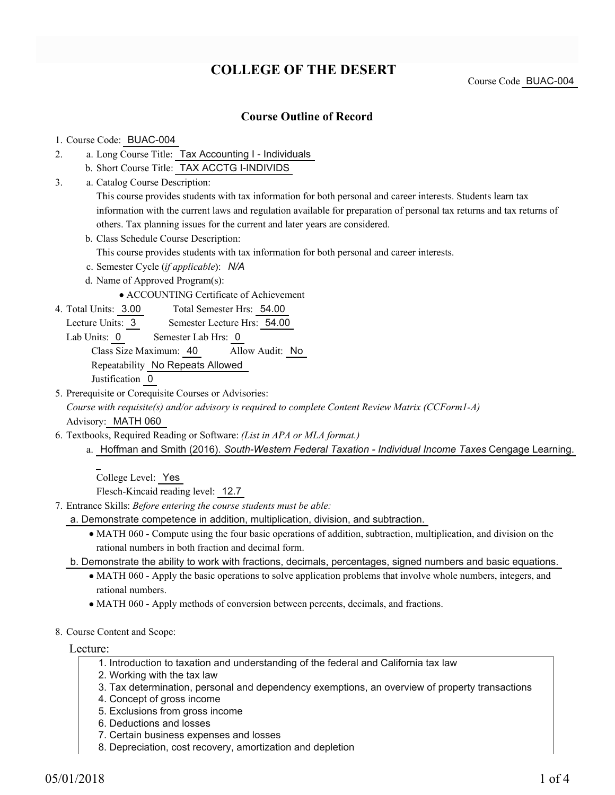# **COLLEGE OF THE DESERT**

Course Code BUAC-004

#### **Course Outline of Record**

#### 1. Course Code: BUAC-004

- a. Long Course Title: Tax Accounting I Individuals 2.
	- b. Short Course Title: TAX ACCTG I-INDIVIDS
- Catalog Course Description: a. 3.

This course provides students with tax information for both personal and career interests. Students learn tax information with the current laws and regulation available for preparation of personal tax returns and tax returns of others. Tax planning issues for the current and later years are considered.

b. Class Schedule Course Description:

This course provides students with tax information for both personal and career interests.

- c. Semester Cycle (*if applicable*): *N/A*
- d. Name of Approved Program(s):

ACCOUNTING Certificate of Achievement

- Total Semester Hrs: 54.00 4. Total Units: 3.00
	- Lecture Units: 3 Semester Lecture Hrs: 54.00
	- Lab Units: 0 Semester Lab Hrs: 0

Class Size Maximum: 40 Allow Audit: No

Repeatability No Repeats Allowed

Justification 0

5. Prerequisite or Corequisite Courses or Advisories:

*Course with requisite(s) and/or advisory is required to complete Content Review Matrix (CCForm1-A)* Advisory: MATH 060

- Textbooks, Required Reading or Software: *(List in APA or MLA format.)* 6.
	- a. Hoffman and Smith (2016). South-Western Federal Taxation Individual Income Taxes Cengage Learning.

College Level: Yes

Flesch-Kincaid reading level: 12.7

Entrance Skills: *Before entering the course students must be able:* 7.

a. Demonstrate competence in addition, multiplication, division, and subtraction.

MATH 060 - Compute using the four basic operations of addition, subtraction, multiplication, and division on the rational numbers in both fraction and decimal form.

b. Demonstrate the ability to work with fractions, decimals, percentages, signed numbers and basic equations.

- MATH 060 Apply the basic operations to solve application problems that involve whole numbers, integers, and rational numbers.
- MATH 060 Apply methods of conversion between percents, decimals, and fractions.
- 8. Course Content and Scope:

Lecture:

1. Introduction to taxation and understanding of the federal and California tax law

- 2. Working with the tax law
- 3. Tax determination, personal and dependency exemptions, an overview of property transactions
- 4. Concept of gross income
- 5. Exclusions from gross income
- 6. Deductions and losses
- 7. Certain business expenses and losses
- 8. Depreciation, cost recovery, amortization and depletion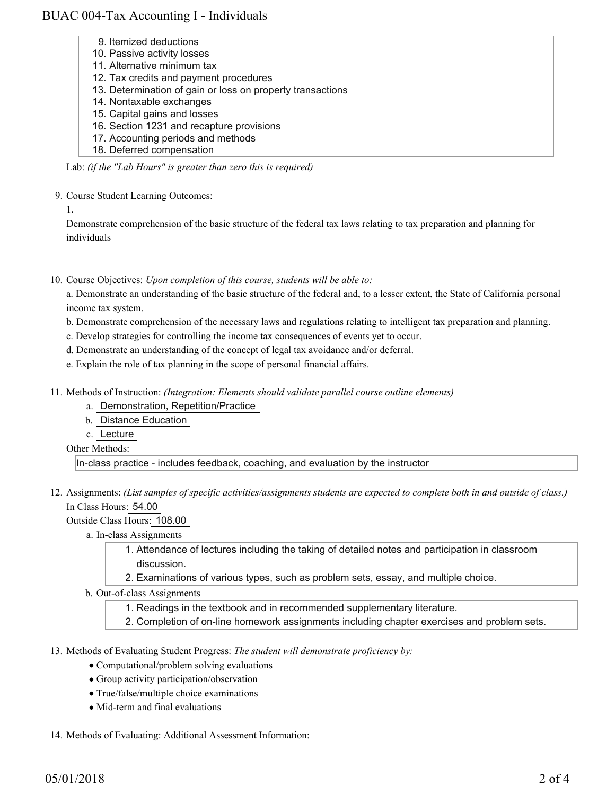### BUAC 004-Tax Accounting I - Individuals

- 9. Itemized deductions
- 10. Passive activity losses
- 11. Alternative minimum tax
- 12. Tax credits and payment procedures
- 13. Determination of gain or loss on property transactions
- 14. Nontaxable exchanges
- 15. Capital gains and losses
- 16. Section 1231 and recapture provisions
- 17. Accounting periods and methods
- 18. Deferred compensation

Lab: *(if the "Lab Hours" is greater than zero this is required)*

9. Course Student Learning Outcomes:

1.

Demonstrate comprehension of the basic structure of the federal tax laws relating to tax preparation and planning for individuals

10. Course Objectives: Upon completion of this course, students will be able to:

a. Demonstrate an understanding of the basic structure of the federal and, to a lesser extent, the State of California personal income tax system.

- b. Demonstrate comprehension of the necessary laws and regulations relating to intelligent tax preparation and planning.
- c. Develop strategies for controlling the income tax consequences of events yet to occur.
- d. Demonstrate an understanding of the concept of legal tax avoidance and/or deferral.
- e. Explain the role of tax planning in the scope of personal financial affairs.
- 11. Methods of Instruction: *(Integration: Elements should validate parallel course outline elements)* 
	- a. Demonstration, Repetition/Practice
	- b. Distance Education
	- c. Lecture
	- Other Methods:

In-class practice - includes feedback, coaching, and evaluation by the instructor

12. Assignments: (List samples of specific activities/assignments students are expected to complete both in and outside of class.) In Class Hours: 54.00

Outside Class Hours: 108.00

- a. In-class Assignments
	- Attendance of lectures including the taking of detailed notes and participation in classroom 1. discussion.
	- 2. Examinations of various types, such as problem sets, essay, and multiple choice.
- b. Out-of-class Assignments
	- 1. Readings in the textbook and in recommended supplementary literature.
	- 2. Completion of on-line homework assignments including chapter exercises and problem sets.
- 13. Methods of Evaluating Student Progress: The student will demonstrate proficiency by:
	- Computational/problem solving evaluations
	- Group activity participation/observation
	- True/false/multiple choice examinations
	- Mid-term and final evaluations
- 14. Methods of Evaluating: Additional Assessment Information: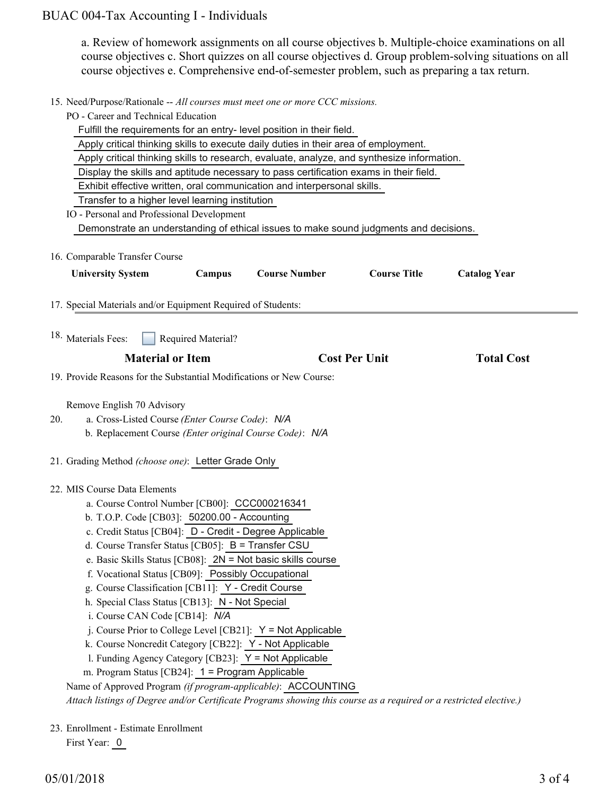# BUAC 004-Tax Accounting I - Individuals

a. Review of homework assignments on all course objectives b. Multiple-choice examinations on all course objectives c. Short quizzes on all course objectives d. Group problem-solving situations on all course objectives e. Comprehensive end-of-semester problem, such as preparing a tax return.

15. Need/Purpose/Rationale -- All courses must meet one or more CCC missions.

| PO - Career and Technical Education                                                                                |                                               |                                                                                            |                      |                     |  |
|--------------------------------------------------------------------------------------------------------------------|-----------------------------------------------|--------------------------------------------------------------------------------------------|----------------------|---------------------|--|
|                                                                                                                    |                                               | Fulfill the requirements for an entry- level position in their field.                      |                      |                     |  |
|                                                                                                                    |                                               | Apply critical thinking skills to execute daily duties in their area of employment.        |                      |                     |  |
|                                                                                                                    |                                               | Apply critical thinking skills to research, evaluate, analyze, and synthesize information. |                      |                     |  |
|                                                                                                                    |                                               | Display the skills and aptitude necessary to pass certification exams in their field.      |                      |                     |  |
|                                                                                                                    |                                               | Exhibit effective written, oral communication and interpersonal skills.                    |                      |                     |  |
| Transfer to a higher level learning institution                                                                    |                                               |                                                                                            |                      |                     |  |
| IO - Personal and Professional Development                                                                         |                                               |                                                                                            |                      |                     |  |
|                                                                                                                    |                                               | Demonstrate an understanding of ethical issues to make sound judgments and decisions.      |                      |                     |  |
|                                                                                                                    |                                               |                                                                                            |                      |                     |  |
| 16. Comparable Transfer Course                                                                                     |                                               |                                                                                            |                      |                     |  |
| <b>University System</b>                                                                                           | Campus                                        | <b>Course Number</b>                                                                       | <b>Course Title</b>  | <b>Catalog Year</b> |  |
|                                                                                                                    |                                               |                                                                                            |                      |                     |  |
| 17. Special Materials and/or Equipment Required of Students:                                                       |                                               |                                                                                            |                      |                     |  |
|                                                                                                                    |                                               |                                                                                            |                      |                     |  |
| 18. Materials Fees:                                                                                                | Required Material?                            |                                                                                            |                      |                     |  |
|                                                                                                                    |                                               |                                                                                            |                      |                     |  |
| <b>Material or Item</b>                                                                                            |                                               |                                                                                            | <b>Cost Per Unit</b> | <b>Total Cost</b>   |  |
| 19. Provide Reasons for the Substantial Modifications or New Course:                                               |                                               |                                                                                            |                      |                     |  |
|                                                                                                                    |                                               |                                                                                            |                      |                     |  |
| Remove English 70 Advisory                                                                                         |                                               |                                                                                            |                      |                     |  |
| a. Cross-Listed Course (Enter Course Code): N/A<br>20.                                                             |                                               |                                                                                            |                      |                     |  |
| b. Replacement Course (Enter original Course Code): N/A                                                            |                                               |                                                                                            |                      |                     |  |
|                                                                                                                    |                                               |                                                                                            |                      |                     |  |
| 21. Grading Method (choose one): Letter Grade Only                                                                 |                                               |                                                                                            |                      |                     |  |
|                                                                                                                    |                                               |                                                                                            |                      |                     |  |
| 22. MIS Course Data Elements                                                                                       |                                               |                                                                                            |                      |                     |  |
|                                                                                                                    | a. Course Control Number [CB00]: CCC000216341 |                                                                                            |                      |                     |  |
| b. T.O.P. Code [CB03]: 50200.00 - Accounting                                                                       |                                               |                                                                                            |                      |                     |  |
| c. Credit Status [CB04]: D - Credit - Degree Applicable                                                            |                                               |                                                                                            |                      |                     |  |
| d. Course Transfer Status [CB05]: B = Transfer CSU                                                                 |                                               |                                                                                            |                      |                     |  |
|                                                                                                                    |                                               | e. Basic Skills Status [CB08]: $2N = Not$ basic skills course                              |                      |                     |  |
| f. Vocational Status [CB09]: Possibly Occupational                                                                 |                                               |                                                                                            |                      |                     |  |
| g. Course Classification [CB11]: Y - Credit Course                                                                 |                                               |                                                                                            |                      |                     |  |
| h. Special Class Status [CB13]: N - Not Special                                                                    |                                               |                                                                                            |                      |                     |  |
| i. Course CAN Code [CB14]: N/A                                                                                     |                                               |                                                                                            |                      |                     |  |
|                                                                                                                    |                                               | j. Course Prior to College Level [CB21]: Y = Not Applicable                                |                      |                     |  |
| k. Course Noncredit Category [CB22]: Y - Not Applicable                                                            |                                               |                                                                                            |                      |                     |  |
| 1. Funding Agency Category [CB23]: Y = Not Applicable                                                              |                                               |                                                                                            |                      |                     |  |
| m. Program Status [CB24]: 1 = Program Applicable                                                                   |                                               |                                                                                            |                      |                     |  |
| Name of Approved Program (if program-applicable): ACCOUNTING                                                       |                                               |                                                                                            |                      |                     |  |
| Attach listings of Degree and/or Certificate Programs showing this course as a required or a restricted elective.) |                                               |                                                                                            |                      |                     |  |
|                                                                                                                    |                                               |                                                                                            |                      |                     |  |
| 23. Enrollment - Estimate Enrollment                                                                               |                                               |                                                                                            |                      |                     |  |

First Year: 0